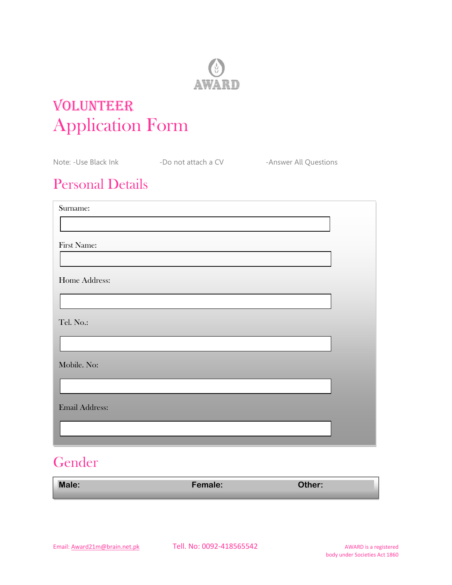

# VOLUNTEER Application Form

|                         | Note: -Use Black Ink The South of a CV Contact A CV | -Answer All Questions |
|-------------------------|-----------------------------------------------------|-----------------------|
| <b>Personal Details</b> |                                                     |                       |
| Surname:                |                                                     |                       |
| First Name:             |                                                     |                       |
|                         |                                                     |                       |
| Home Address:           |                                                     |                       |
|                         |                                                     |                       |
| Tel. No.:               |                                                     |                       |
|                         |                                                     |                       |
| Mobile. No:             |                                                     |                       |
| <b>Email Address:</b>   |                                                     |                       |
|                         |                                                     |                       |
|                         |                                                     |                       |

## Gender

| <b>Male:</b> | <b>Female:</b> | Other: |
|--------------|----------------|--------|
|              |                |        |

Email: <u>Award21m@brain.net.pk</u> Tell. No: 0092-418565542 AWARD is a registered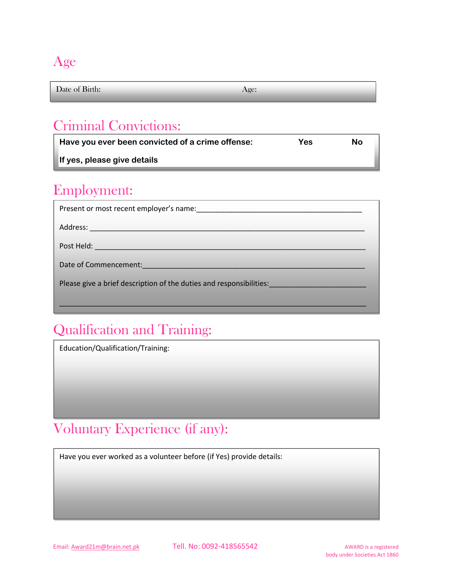#### Age

Date of Birth: Age:

## Criminal Convictions:

**Have you ever been convicted of a crime offense: Yes No**

 $\mathcal{L}_\text{max}$  and  $\mathcal{L}_\text{max}$  and  $\mathcal{L}_\text{max}$  and  $\mathcal{L}_\text{max}$ 

**If yes, please give details**

#### Employment:

| Date of Commencement: National Property of Commencement:            |  |  |
|---------------------------------------------------------------------|--|--|
| Please give a brief description of the duties and responsibilities: |  |  |
|                                                                     |  |  |

## Qualification and Training:

Education/Qualification/Training:

## Voluntary Experience (if any):

Have you ever worked as a volunteer before (if Yes) provide details:

Additional Information: